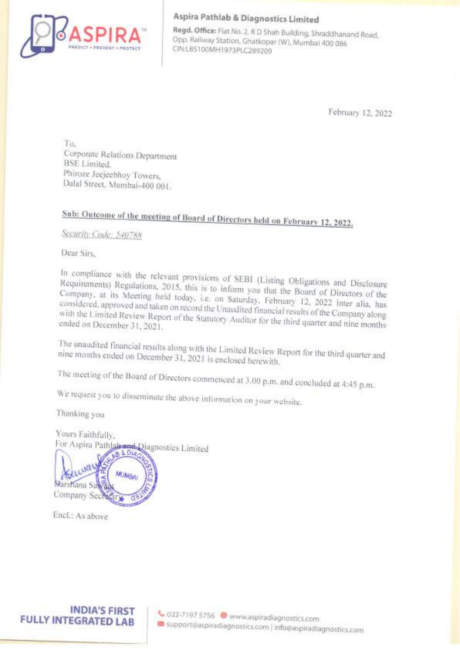

## Aspira Pathlab & Diagnostics Limited

Regd. Office: Flat No. 2, R D Shah Building, Shraddhanand Road, Opp. Railway Station, Ghatkopar (W), Mumbai 400 086<br>CIN:L85100MH1973PLC289209

February 12, 2022

To, Corporate Relations Department BSE Limited, Phiroze Jeejeebhoy Towers, Dalal Street, Mumbai-400 001.

## Sub: Outcome of the meeting of Board of Directors held on February 12, 2022.

Security Code: 540788

Dear Sirs.

Requirements) In compliance with the relevant provisions of SEBI (Listing Obligations and Disclosure<br>Requirements) Regulations, 2015, this is to info Regulations, 2015, this is to inform you that the Board of Directors of the<br>S Meeting held today is a form you that the Board of Directors of the Company, at its Meeting held today, i.e. on Saturday, February 12, 2022 inter alia, has considered, approved and taken held today, i.e. on Saturday, February 12, 2022 inter alia, has<br>ken on record the Unaudited financial results of the Company along

nine The unaudited months ended financial results along with the Limited Review Report for the third quarter and<br>ded on December 31, 2021 is enclosed herewith, nine months ended on December 31, 2021 is enclosed herewith.

We request you to disseminate the above information on your website,

Thanking you

The meeting of the Board of Directors commenced at 3.00 p.m. and concluded at 4:45 p.m.<br>We request you to disseminate the above information on your website.<br>Thanking you<br>Yours Faithfully,<br>For Aspira Pathlabees Diagnostics Yours Faithfully,<br>For Aspira Pathlab Ridge Diagnostics Limited

The meeting of the Board<br>We request you to dissen<br>Thanking you<br>Yours Faithfully,<br>For Aspira Pathlakendary<br>For Aspira Pathlakendary<br>Sarstana Sacrificant Company Section 431<br>Encl.: As above<br>Encl.: As above

Encl.: As above

**FULLY INTEGRATED LAB** 

INDIA'S FIRST \: 022-71975756 @ www.aspiradiagnostics.com co support@aspiradiagnostics.com | info@aspiradiagnostics.com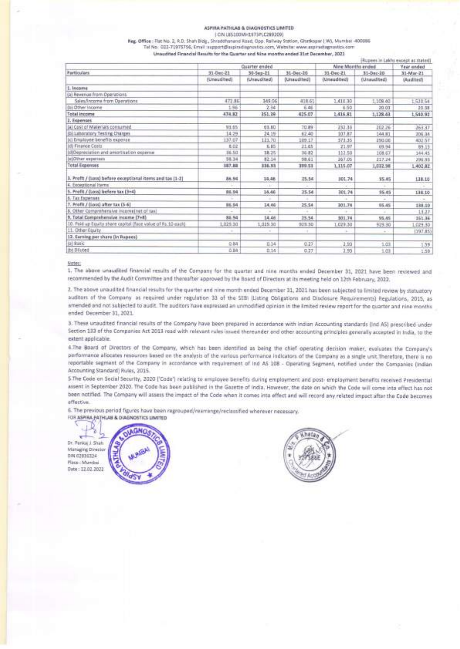## ASPIRA PATHLAB & DIAGNOSTICS LIMITED (CIN L85100MH1973PLC289209)

|                                                                                                                      |                                                                                       | ASPIRA PATHLAB & DIAGNOSTICS LIMITED |                                       |                                |                            |                                    |
|----------------------------------------------------------------------------------------------------------------------|---------------------------------------------------------------------------------------|--------------------------------------|---------------------------------------|--------------------------------|----------------------------|------------------------------------|
| Reg. Office : Flat No. 2, R.D. Shah Bidg., Shraddhanand Road, Opp. Railway Station, Ghatkopar (W), Mumbai -400086    |                                                                                       | LCIM (197000WH2333+/CS88508)         |                                       |                                |                            |                                    |
| Tel No. 022-71975756, Email support@aspiradagnostics.com, Website: www.aspiradagnostics.com                          | Unaudited Financial Results for the Quarter and Nine months ended 31st December, 3021 |                                      |                                       |                                |                            | (Rupees in Lakhs except as stated) |
| Particulars.                                                                                                         | 31-Dec-21                                                                             | Quarter ended<br>30-Sep-21           | 31-Dec-20                             | Nine Months ended<br>31-Dec-21 | 31-Dec-20                  | Year anded<br>31-Mar-21            |
| 1. Income                                                                                                            | (Unoudited)                                                                           | (Unaudited).                         | (Unsudited)                           | (Unsudited)                    | (Unaudited)                | (Audited)                          |
| (a) Revenue from Operations<br>Sales/Income from Operations<br>(b) Other locome                                      | 472.86<br>1.96                                                                        | 349.06<br>2.34                       | 418.61<br>6.46                        | 1,410.30<br>6.50               | 1,108.40<br>20.01          | 1,520.54<br>20.38                  |
| Total income<br>2. Expenses                                                                                          | 474.82                                                                                | 351.39                               | 425.07                                | 1,416.81                       | 1,128.43                   | 1,540.92                           |
| (a) Cost of Materials consumed<br>(b) Laboratory Testing Charges<br>(c) Employee benefits expense                    | 33.65<br>14.29<br>137.07                                                              | 03.80<br>24.19<br>121.70             | 70.89<br>62.40<br>109.17              | 232.33<br>107.87<br>571.35     | 202.26<br>144.81<br>250.00 | 263.37<br>206.34<br>402.57         |
| (d) Finance Costs<br>(il)Depreciation and amortization expense                                                       | 8.02<br>36.50                                                                         | 9.85<br>38.25                        | 21.03<br>36.92                        | 21.87<br>112.50                | 69.94<br>108.67            | 99.15<br>144.45                    |
| (e)Other experises<br><b>Total Expenses</b>                                                                          | 5634<br>187.88                                                                        | 82.14<br>336.93                      | 58.61<br>399.51                       | 267.05<br>1,115.07             | 217.24<br>1,032.98         | 296.93<br>1,402.82                 |
| 3. Profit / (Loss) before exceptional items and tax (1-2)<br>4. Exceptional Items                                    | 86.54                                                                                 | 14,48<br>œ                           | 25.54                                 | 301.74<br>Ŧ.                   | 35.45<br>Œ                 | 138.10                             |
| 5. Profit / (Loss) liefers tax (3+4)<br>6. Tax Expenses<br>7. Profit / (Loss) after tax (5-6)                        | 86.94<br>86,94                                                                        | 14.46<br>14.46                       | 25.54<br>ă<br>25.54                   | 301.74<br>÷<br>301.74          | 95.45<br>÷                 | 138.10<br>$\sim$<br>138.10         |
| 8. Other Comprehensive income[net.of tax]<br>9. Total Comprehensive income [7+8]                                     | 86.94                                                                                 | ×<br>14.46                           | ×<br>25.54                            | ×<br>501.74                    | 95.45<br>95.45             | 11.27<br>151.36                    |
| 10. Paid up Equity share capital (face value of Rs.10 each)<br>11. Other Equity<br>12. Earning per share (in Rupees) | 1,025.30<br>$\sim$                                                                    | 1,029.30<br>$\sim$                   | 929.30<br>$\mathcal{L}_{\mathcal{L}}$ | 1,029.30<br>3                  | 929.30<br>$\sim$           | 1,029.30<br>(197.85)               |
| (a) 845);<br>(b) Diutet                                                                                              | 0.84<br>0.84                                                                          | 0.14<br>0.14                         | 0.27<br>0.77                          | 2,93<br>1.93                   | 1.01<br>1.03               | 159<br>1.50                        |

## Notes:

1. The above unaudited financial results of the Company for the quarter and nine months ended December 31, 2021 have been reviewed and recommended by the Audit Committee and thereafter approved by the Board of Directors at its meeting held on 12th February, 2022.

2. The above unaudited financial results for the quarter and nine month ended December 31, 2021 has been subjected to limited review by statuatory auditors of the Company as required under regulation 33 of the SEBI (Listing Obligations and Disclosure Requirements) Regulations, 2015, as amended and not subjected to audit. The auditors have expressed an unmodified opinion in the limited review report for the quarter and nine months ended December 31, 2021.

3. These unaudited financial results of the Company have been prepared in accordance with Indian Accounting standards (Ind AS) prescribed under Section 133 of the Companies Act 2013 read with relevant rules issued thereunder and other accounting principles generally accepted in India, to the extent applicable.

4.The Board of Directors of the Company, which has been identified as being the chief operating decision maker, evaluates the Company's performance allocates resources based on the analysis of the various performance indicators of the Company as a single unit.Therefore, there is no reportable segment of the Company in accordance with requirement of Ind AS 108 - Operating Segment, notified under the Companies (Indian Accounting Standard) Rules, 2015.

5.The Code on Social Security, 2020 ('Code') relating to employee benefits during employment and post- employment benefits received Presidential assent in September 2020. The Code has been published in the Gazette of India. However, the date on which the Code will come into effect has not been notified. The Company will assess the impact of the Code when it comes into effect and will record any related impact after the Code becomes effective. an notified. The Company will asset<br>ective.<br>The previous period figures have been<br>asseted patielus & DIAGNOSTICS LIMIT

6. The previous period figures have been regrouped/rearrange/reclassified wherever necessary.

Dr. Pankaj J. Shah Managing Director DIN 02836324 Place : Mumbai